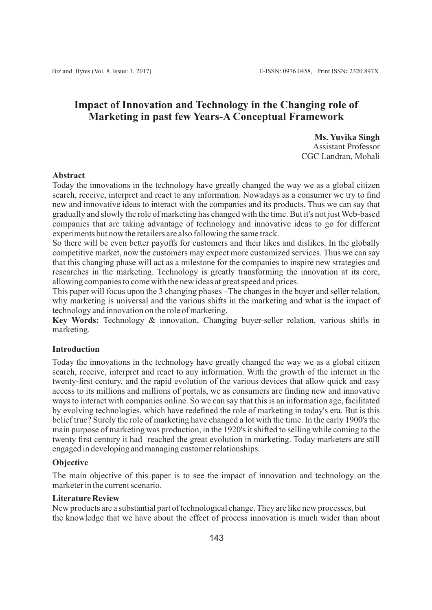# **Impact of Innovation and Technology in the Changing role of Marketing in past few Years-A Conceptual Framework**

**Ms. Yuvika Singh** Assistant Professor CGC Landran, Mohali

# **Abstract**

Today the innovations in the technology have greatly changed the way we as a global citizen search, receive, interpret and react to any information. Nowadays as a consumer we try to find new and innovative ideas to interact with the companies and its products. Thus we can say that gradually and slowly the role of marketing has changed with the time. But it's not just Web-based companies that are taking advantage of technology and innovative ideas to go for different experiments but now the retailers are also following the same track.

So there will be even better payoffs for customers and their likes and dislikes. In the globally competitive market, now the customers may expect more customized services. Thus we can say that this changing phase will act as a milestone for the companies to inspire new strategies and researches in the marketing. Technology is greatly transforming the innovation at its core, allowing companies to come with the new ideas at great speed and prices.

This paper will focus upon the 3 changing phases –The changes in the buyer and seller relation, why marketing is universal and the various shifts in the marketing and what is the impact of technology and innovation on the role of marketing.

**Key Words:** Technology & innovation, Changing buyer-seller relation, various shifts in marketing.

# **Introduction**

Today the innovations in the technology have greatly changed the way we as a global citizen search, receive, interpret and react to any information. With the growth of the internet in the twenty-first century, and the rapid evolution of the various devices that allow quick and easy access to its millions and millions of portals, we as consumers are finding new and innovative ways to interact with companies online. So we can say that this is an information age, facilitated by evolving technologies, which have redefined the role of marketing in today's era. But is this belief true? Surely the role of marketing have changed a lot with the time. In the early 1900's the main purpose of marketing was production, in the 1920's it shifted to selling while coming to the twenty first century it had reached the great evolution in marketing. Today marketers are still engaged in developing and managing customer relationships.

# **Objective**

The main objective of this paper is to see the impact of innovation and technology on the marketer in the current scenario.

### **Literature Review**

New products are a substantial part of technological change. They are like new processes, but the knowledge that we have about the effect of process innovation is much wider than about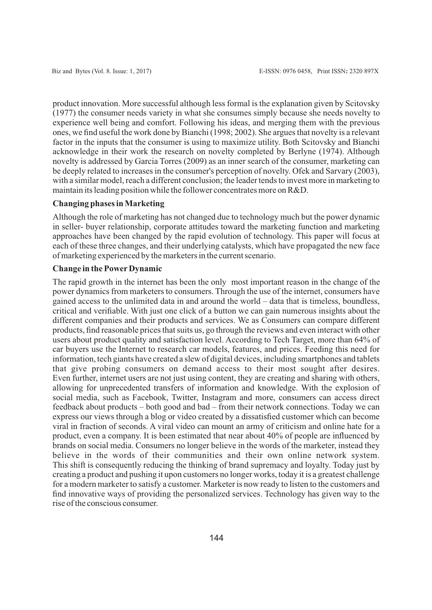product innovation. More successful although less formal is the explanation given by Scitovsky (1977) the consumer needs variety in what she consumes simply because she needs novelty to experience well being and comfort. Following his ideas, and merging them with the previous ones, we find useful the work done by Bianchi (1998; 2002). She argues that novelty is a relevant factor in the inputs that the consumer is using to maximize utility. Both Scitovsky and Bianchi acknowledge in their work the research on novelty completed by Berlyne (1974). Although novelty is addressed by Garcia Torres (2009) as an inner search of the consumer, marketing can be deeply related to increases in the consumer's perception of novelty. Ofek and Sarvary (2003), with a similar model, reach a different conclusion; the leader tends to invest more in marketing to maintain its leading position while the follower concentrates more on R&D.

# **Changing phases in Marketing**

Although the role of marketing has not changed due to technology much but the power dynamic in seller- buyer relationship, corporate attitudes toward the marketing function and marketing approaches have been changed by the rapid evolution of technology. This paper will focus at each of these three changes, and their underlying catalysts, which have propagated the new face of marketing experienced by the marketers in the current scenario.

# **Change in the PowerDynamic**

The rapid growth in the internet has been the only most important reason in the change of the power dynamics from marketers to consumers. Through the use of the internet, consumers have gained access to the unlimited data in and around the world – data that is timeless, boundless, critical and verifiable. With just one click of a button we can gain numerous insights about the different companies and their products and services. We as Consumers can compare different products, find reasonable prices that suits us, go through the reviews and even interact with other users about product quality and satisfaction level. According to Tech Target, more than 64% of car buyers use the Internet to research car models, features, and prices. Feeding this need for information, tech giants have created a slew of digital devices, including smartphones and tablets that give probing consumers on demand access to their most sought after desires. Even further, internet users are not just using content, they are creating and sharing with others, allowing for unprecedented transfers of information and knowledge. With the explosion of social media, such as Facebook, Twitter, Instagram and more, consumers can access direct feedback about products – both good and bad – from their network connections. Today we can express our views through a blog or video created by a dissatisfied customer which can become viral in fraction of seconds. A viral video can mount an army of criticism and online hate for a product, even a company. It is been estimated that near about 40% of people are influenced by brands on social media. Consumers no longer believe in the words of the marketer, instead they believe in the words of their communities and their own online network system. This shift is consequently reducing the thinking of brand supremacy and loyalty. Today just by creating a product and pushing it upon customers no longer works, today it is a greatest challenge for a modern marketer to satisfy a customer. Marketer is now ready to listen to the customers and find innovative ways of providing the personalized services. Technology has given way to the rise of the conscious consumer.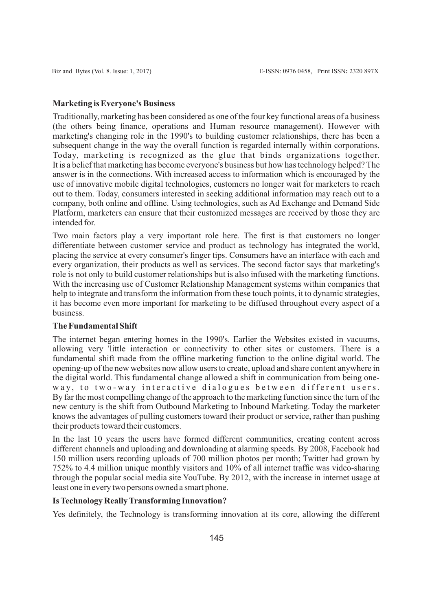#### **Marketing is Everyone's Business**

Traditionally, marketing has been considered as one of the four key functional areas of a business (the others being finance, operations and Human resource management). However with marketing's changing role in the 1990's to building customer relationships, there has been a subsequent change in the way the overall function is regarded internally within corporations. Today, marketing is recognized as the glue that binds organizations together. It is a belief that marketing has become everyone's business but how has technology helped? The answer is in the connections. With increased access to information which is encouraged by the use of innovative mobile digital technologies, customers no longer wait for marketers to reach out to them. Today, consumers interested in seeking additional information may reach out to a company, both online and offline. Using technologies, such as Ad Exchange and Demand Side Platform, marketers can ensure that their customized messages are received by those they are intended for.

Two main factors play a very important role here. The first is that customers no longer differentiate between customer service and product as technology has integrated the world, placing the service at every consumer's finger tips. Consumers have an interface with each and every organization, their products as well as services. The second factor says that marketing's role is not only to build customer relationships but is also infused with the marketing functions. With the increasing use of Customer Relationship Management systems within companies that help to integrate and transform the information from these touch points, it to dynamic strategies, it has become even more important for marketing to be diffused throughout every aspect of a business.

### **The Fundamental Shift**

The internet began entering homes in the 1990's. Earlier the Websites existed in vacuums, allowing very 'little interaction or connectivity to other sites or customers. There is a fundamental shift made from the offline marketing function to the online digital world. The opening-up of the new websites now allow users to create, upload and share content anywhere in the digital world. This fundamental change allowed a shift in communication from being oneway, to two-way interactive dialogues between different users. By far the most compelling change of the approach to the marketing function since the turn of the new century is the shift from Outbound Marketing to Inbound Marketing. Today the marketer knows the advantages of pulling customers toward their product or service, rather than pushing their products toward their customers.

In the last 10 years the users have formed different communities, creating content across different channels and uploading and downloading at alarming speeds. By 2008, Facebook had 150 million users recording uploads of 700 million photos per month; Twitter had grown by 752% to 4.4 million unique monthly visitors and 10% of all internet traffic was video-sharing through the popular social media site YouTube. By 2012, with the increase in internet usage at least one in every two persons owned a smart phone.

## **Is Technology Really Transforming Innovation?**

Yes definitely, the Technology is transforming innovation at its core, allowing the different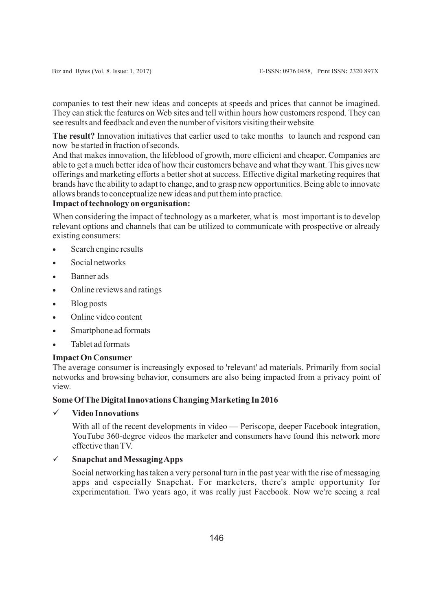companies to test their new ideas and concepts at speeds and prices that cannot be imagined. They can stick the features on Web sites and tell within hours how customers respond. They can see results and feedback and even the number of visitors visiting their website

**The result?** Innovation initiatives that earlier used to take months to launch and respond can now be started in fraction of seconds.

And that makes innovation, the lifeblood of growth, more efficient and cheaper. Companies are able to get a much better idea of how their customers behave and what they want. This gives new offerings and marketing efforts a better shot at success. Effective digital marketing requires that brands have the ability to adapt to change, and to grasp new opportunities. Being able to innovate allows brands to conceptualize new ideas and put them into practice.

# **Impact of technology on organisation:**

When considering the impact of technology as a marketer, what is most important is to develop relevant options and channels that can be utilized to communicate with prospective or already existing consumers:

- Search engine results
- Social networks
- · Banner ads
- Online reviews and ratings
- · Blog posts
- Online video content
- · Smartphone ad formats
- · Tablet ad formats

### **Impact On Consumer**

The average consumer is increasingly exposed to 'relevant' ad materials. Primarily from social networks and browsing behavior, consumers are also being impacted from a privacy point of view.

## **Some Of The Digital Innovations Changing Marketing In 2016**

# ü **Video Innovations**

With all of the recent developments in video — Periscope, deeper Facebook integration, YouTube 360-degree videos the marketer and consumers have found this network more effective than TV.

# ü **Snapchat and Messaging Apps**

Social networking has taken a very personal turn in the past year with the rise of messaging apps and especially Snapchat. For marketers, there's ample opportunity for experimentation. Two years ago, it was really just Facebook. Now we're seeing a real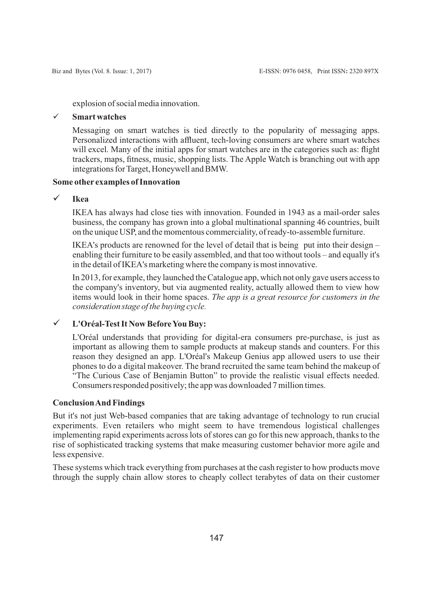explosion of social media innovation.

# ü **Smart watches**

Messaging on smart watches is tied directly to the popularity of messaging apps. Personalized interactions with affluent, tech-loving consumers are where smart watches will excel. Many of the initial apps for smart watches are in the categories such as: flight trackers, maps, fitness, music, shopping lists. The Apple Watch is branching out with app integrations for Target, Honeywell and BMW.

# **Some other examples of Innovation**

# ü **Ikea**

IKEA has always had close ties with innovation. Founded in 1943 as a mail-order sales business, the company has grown into a global multinational spanning 46 countries, built on the unique USP, and the momentous commerciality, of ready-to-assemble furniture.

IKEA's products are renowned for the level of detail that is being put into their design – enabling their furniture to be easily assembled, and that too without tools – and equally it's in the detail of IKEA's marketing where the company is most innovative.

In 2013, for example, they launched the Catalogue app, which not only gave users access to the company's inventory, but via augmented reality, actually allowed them to view how items would look in their home spaces. *The app is a great resource for customers in the consideration stage of the buying cycle.*

# ü **L'Oréal-Test It Now Before You Buy:**

L'Oréal understands that providing for digital-era consumers pre-purchase, is just as important as allowing them to sample products at makeup stands and counters. For this reason they designed an app. L'Oréal's Makeup Genius app allowed users to use their phones to do a digital makeover. The brand recruited the same team behind the makeup of "The Curious Case of Benjamin Button" to provide the realistic visual effects needed. Consumers responded positively; the app was downloaded 7 million times.

# **Conclusion And Findings**

But it's not just Web-based companies that are taking advantage of technology to run crucial experiments. Even retailers who might seem to have tremendous logistical challenges implementing rapid experiments across lots of stores can go for this new approach, thanks to the rise of sophisticated tracking systems that make measuring customer behavior more agile and less expensive.

These systems which track everything from purchases at the cash register to how products move through the supply chain allow stores to cheaply collect terabytes of data on their customer